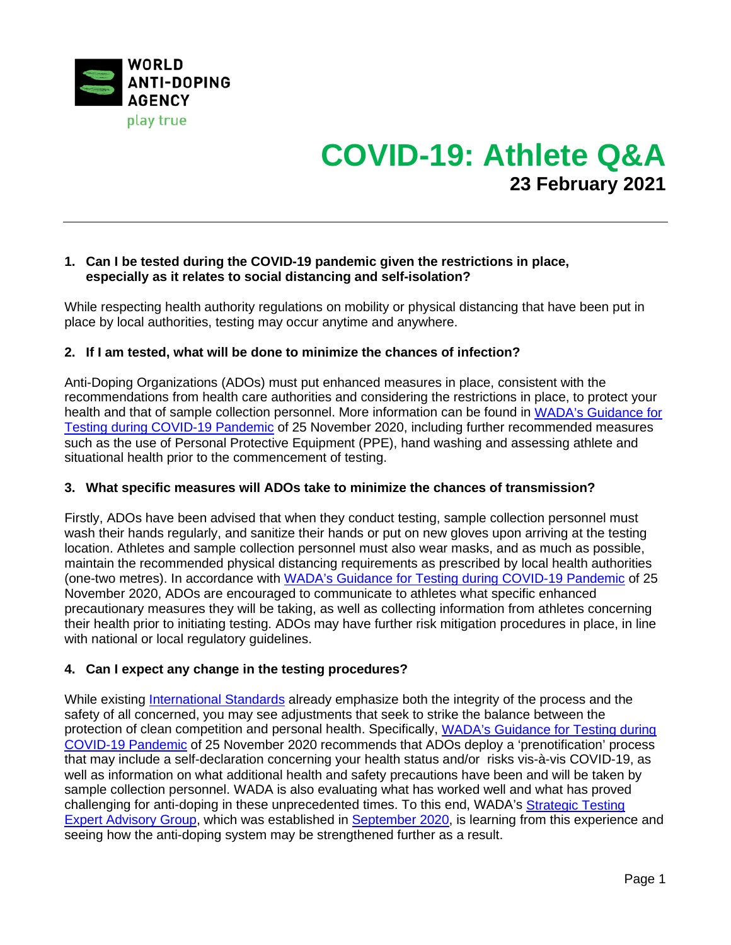

## **1. Can I be tested during the COVID-19 pandemic given the restrictions in place, especially as it relates to social distancing and self-isolation?**

While respecting health authority regulations on mobility or physical distancing that have been put in place by local authorities, testing may occur anytime and anywhere.

## **2. If I am tested, what will be done to minimize the chances of infection?**

Anti-Doping Organizations (ADOs) must put enhanced measures in place, consistent with the recommendations from health care authorities and considering the restrictions in place, to protect your health and that of sample collection personnel. More information can be found in [WADA's Guidance for](https://www.wada-ama.org/en/media/news/2020-11/wada-updates-its-covid-19-testing-guidance-for-anti-doping-organizations)  [Testing during COVID-19 Pandemic](https://www.wada-ama.org/en/media/news/2020-11/wada-updates-its-covid-19-testing-guidance-for-anti-doping-organizations) of 25 November 2020, including further recommended measures such as the use of Personal Protective Equipment (PPE), hand washing and assessing athlete and situational health prior to the commencement of testing.

#### **3. What specific measures will ADOs take to minimize the chances of transmission?**

Firstly, ADOs have been advised that when they conduct testing, sample collection personnel must wash their hands regularly, and sanitize their hands or put on new gloves upon arriving at the testing location. Athletes and sample collection personnel must also wear masks, and as much as possible, maintain the recommended physical distancing requirements as prescribed by local health authorities (one-two metres). In accordance with [WADA's Guidance for Testing during COVID-19 Pandemic](https://www.wada-ama.org/en/media/news/2020-11/wada-updates-its-covid-19-testing-guidance-for-anti-doping-organizations) of 25 November 2020, ADOs are encouraged to communicate to athletes what specific enhanced precautionary measures they will be taking, as well as collecting information from athletes concerning their health prior to initiating testing. ADOs may have further risk mitigation procedures in place, in line with national or local regulatory guidelines.

## **4. Can I expect any change in the testing procedures?**

While existing [International Standards](https://www.wada-ama.org/en/what-we-do/international-standards) already emphasize both the integrity of the process and the safety of all concerned, you may see adjustments that seek to strike the balance between the protection of clean competition and personal health. Specifically, [WADA's Guidance for Testing during](https://www.wada-ama.org/en/media/news/2020-11/wada-updates-its-covid-19-testing-guidance-for-anti-doping-organizations)  [COVID-19 Pandemic](https://www.wada-ama.org/en/media/news/2020-11/wada-updates-its-covid-19-testing-guidance-for-anti-doping-organizations) of 25 November 2020 recommends that ADOs deploy a 'prenotification' process that may include a self-declaration concerning your health status and/or risks vis-à-vis COVID-19, as well as information on what additional health and safety precautions have been and will be taken by sample collection personnel. WADA is also evaluating what has worked well and what has proved challenging for anti-doping in these unprecedented times. To this end, WADA's [Strategic Testing](https://www.wada-ama.org/en/who-we-are/governance/strategic-testing-expert-advisory-group)  [Expert Advisory Group,](https://www.wada-ama.org/en/who-we-are/governance/strategic-testing-expert-advisory-group) which was established in [September 2020,](https://www.wada-ama.org/en/media/news/2020-09/new-wada-strategic-testing-expert-group-reviews-the-lessons-learned-from-the) is learning from this experience and seeing how the anti-doping system may be strengthened further as a result.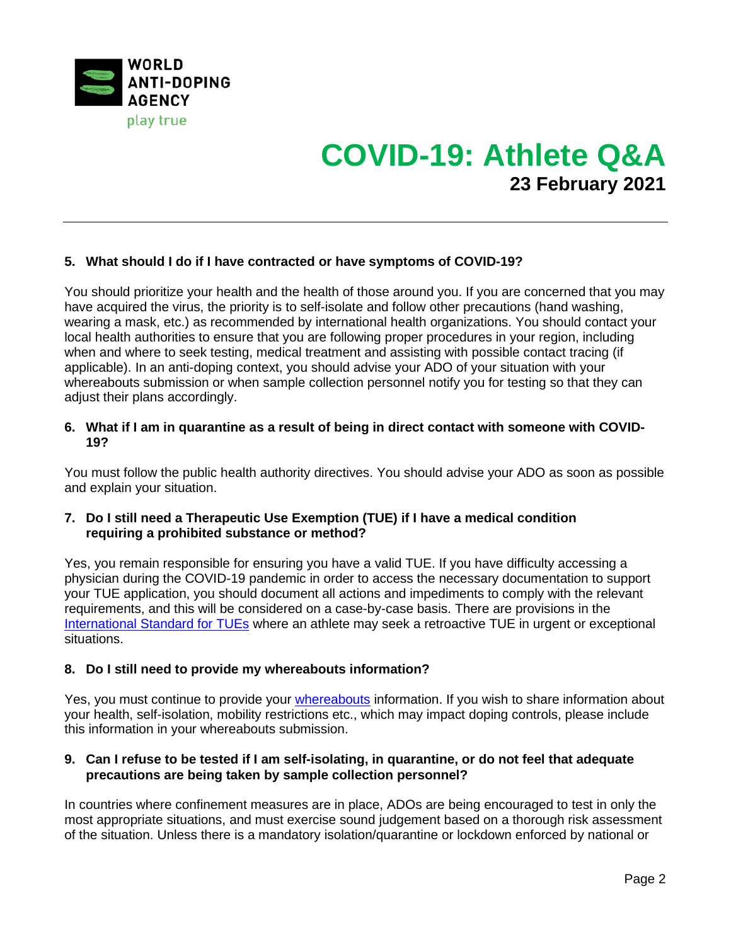

## **5. What should I do if I have contracted or have symptoms of COVID-19?**

You should prioritize your health and the health of those around you. If you are concerned that you may have acquired the virus, the priority is to self-isolate and follow other precautions (hand washing, wearing a mask, etc.) as recommended by international health organizations. You should contact your local health authorities to ensure that you are following proper procedures in your region, including when and where to seek testing, medical treatment and assisting with possible contact tracing (if applicable). In an anti-doping context, you should advise your ADO of your situation with your whereabouts submission or when sample collection personnel notify you for testing so that they can adjust their plans accordingly.

#### **6. What if I am in quarantine as a result of being in direct contact with someone with COVID-19?**

You must follow the public health authority directives. You should advise your ADO as soon as possible and explain your situation.

### **7. Do I still need a Therapeutic Use Exemption (TUE) if I have a medical condition requiring a prohibited substance or method?**

Yes, you remain responsible for ensuring you have a valid TUE. If you have difficulty accessing a physician during the COVID-19 pandemic in order to access the necessary documentation to support your TUE application, you should document all actions and impediments to comply with the relevant requirements, and this will be considered on a case-by-case basis. There are provisions in the [International Standard for TUEs](https://www.wada-ama.org/en/resources/therapeutic-use-exemption-tue/international-standard-for-therapeutic-use-exemptions-istue) where an athlete may seek a retroactive TUE in urgent or exceptional situations.

#### **8. Do I still need to provide my whereabouts information?**

Yes, you must continue to provide your [whereabouts](https://www.wada-ama.org/en/questions-answers/whereabouts) information. If you wish to share information about your health, self-isolation, mobility restrictions etc., which may impact doping controls, please include this information in your whereabouts submission.

### **9. Can I refuse to be tested if I am self-isolating, in quarantine, or do not feel that adequate precautions are being taken by sample collection personnel?**

In countries where confinement measures are in place, ADOs are being encouraged to test in only the most appropriate situations, and must exercise sound judgement based on a thorough risk assessment of the situation. Unless there is a mandatory isolation/quarantine or lockdown enforced by national or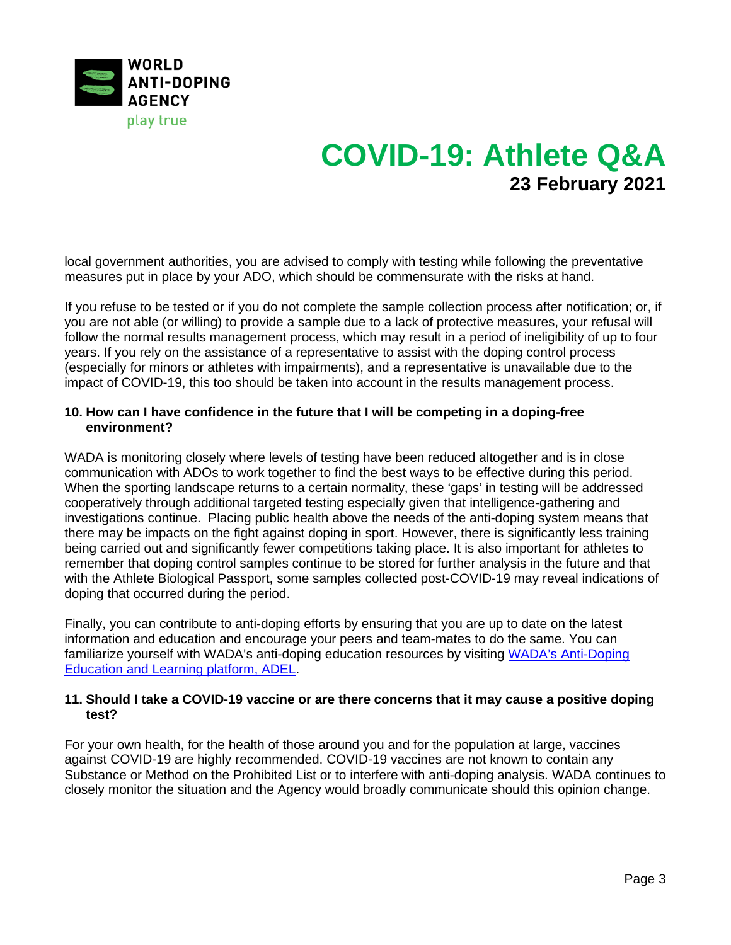

local government authorities, you are advised to comply with testing while following the preventative measures put in place by your ADO, which should be commensurate with the risks at hand.

If you refuse to be tested or if you do not complete the sample collection process after notification; or, if you are not able (or willing) to provide a sample due to a lack of protective measures, your refusal will follow the normal results management process, which may result in a period of ineligibility of up to four years. If you rely on the assistance of a representative to assist with the doping control process (especially for minors or athletes with impairments), and a representative is unavailable due to the impact of COVID-19, this too should be taken into account in the results management process.

### **10. How can I have confidence in the future that I will be competing in a doping-free environment?**

WADA is monitoring closely where levels of testing have been reduced altogether and is in close communication with ADOs to work together to find the best ways to be effective during this period. When the sporting landscape returns to a certain normality, these 'gaps' in testing will be addressed cooperatively through additional targeted testing especially given that intelligence-gathering and investigations continue. Placing public health above the needs of the anti-doping system means that there may be impacts on the fight against doping in sport. However, there is significantly less training being carried out and significantly fewer competitions taking place. It is also important for athletes to remember that doping control samples continue to be stored for further analysis in the future and that with the Athlete Biological Passport, some samples collected post-COVID-19 may reveal indications of doping that occurred during the period.

Finally, you can contribute to anti-doping efforts by ensuring that you are up to date on the latest information and education and encourage your peers and team-mates to do the same. You can familiarize yourself with WADA's anti-doping education resources by visiting [WADA's Anti-Doping](https://adel.wada-ama.org/learn)  [Education and Learning platform, ADEL.](https://adel.wada-ama.org/learn)

### **11. Should I take a COVID-19 vaccine or are there concerns that it may cause a positive doping test?**

For your own health, for the health of those around you and for the population at large, vaccines against COVID-19 are highly recommended. COVID-19 vaccines are not known to contain any Substance or Method on the Prohibited List or to interfere with anti-doping analysis. WADA continues to closely monitor the situation and the Agency would broadly communicate should this opinion change.